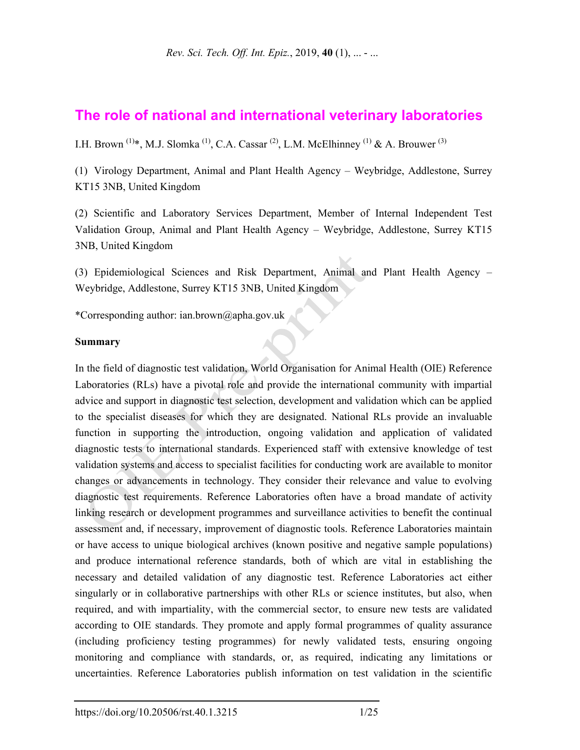# **The role of national and international veterinary laboratories**

I.H. Brown <sup>(1)\*</sup>, M.J. Slomka<sup>(1)</sup>, C.A. Cassar<sup>(2)</sup>, L.M. McElhinney<sup>(1)</sup> & A. Brouwer<sup>(3)</sup>

(1) Virology Department, Animal and Plant Health Agency – Weybridge, Addlestone, Surrey KT15 3NB, United Kingdom

(2) Scientific and Laboratory Services Department, Member of Internal Independent Test Validation Group, Animal and Plant Health Agency – Weybridge, Addlestone, Surrey KT15 3NB, United Kingdom

(3) Epidemiological Sciences and Risk Department, Animal and Plant Health Agency – Weybridge, Addlestone, Surrey KT15 3NB, United Kingdom

\*Corresponding author: ian.brown@apha.gov.uk

#### **Summary**

In the field of diagnostic test validation, World Organisation for Animal Health (OIE) Reference Laboratories (RLs) have a pivotal role and provide the international community with impartial advice and support in diagnostic test selection, development and validation which can be applied to the specialist diseases for which they are designated. National RLs provide an invaluable function in supporting the introduction, ongoing validation and application of validated diagnostic tests to international standards. Experienced staff with extensive knowledge of test validation systems and access to specialist facilities for conducting work are available to monitor changes or advancements in technology. They consider their relevance and value to evolving diagnostic test requirements. Reference Laboratories often have a broad mandate of activity linking research or development programmes and surveillance activities to benefit the continual assessment and, if necessary, improvement of diagnostic tools. Reference Laboratories maintain or have access to unique biological archives (known positive and negative sample populations) and produce international reference standards, both of which are vital in establishing the necessary and detailed validation of any diagnostic test. Reference Laboratories act either singularly or in collaborative partnerships with other RLs or science institutes, but also, when required, and with impartiality, with the commercial sector, to ensure new tests are validated according to OIE standards. They promote and apply formal programmes of quality assurance (including proficiency testing programmes) for newly validated tests, ensuring ongoing monitoring and compliance with standards, or, as required, indicating any limitations or uncertainties. Reference Laboratories publish information on test validation in the scientific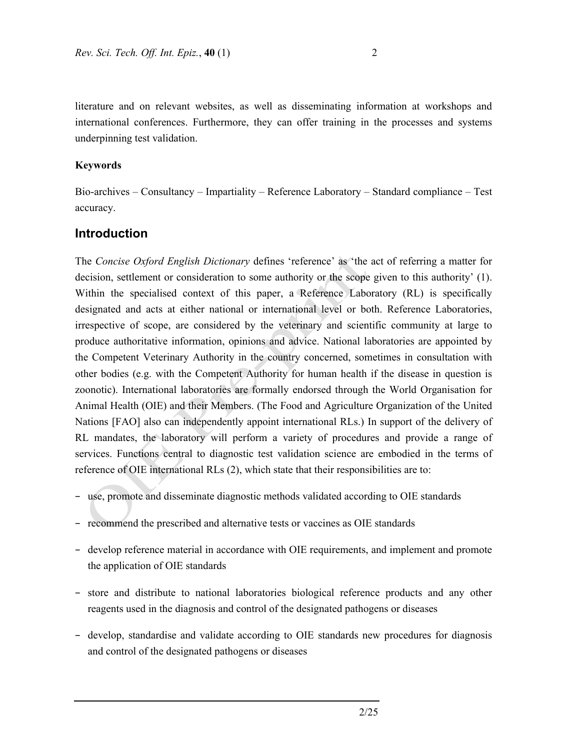literature and on relevant websites, as well as disseminating information at workshops and international conferences. Furthermore, they can offer training in the processes and systems underpinning test validation.

#### **Keywords**

Bio-archives – Consultancy – Impartiality – Reference Laboratory – Standard compliance – Test accuracy.

### **Introduction**

The *Concise Oxford English Dictionary* defines 'reference' as 'the act of referring a matter for decision, settlement or consideration to some authority or the scope given to this authority' (1). Within the specialised context of this paper, a Reference Laboratory (RL) is specifically designated and acts at either national or international level or both. Reference Laboratories, irrespective of scope, are considered by the veterinary and scientific community at large to produce authoritative information, opinions and advice. National laboratories are appointed by the Competent Veterinary Authority in the country concerned, sometimes in consultation with other bodies (e.g. with the Competent Authority for human health if the disease in question is zoonotic). International laboratories are formally endorsed through the World Organisation for Animal Health (OIE) and their Members. (The Food and Agriculture Organization of the United Nations [FAO] also can independently appoint international RLs.) In support of the delivery of RL mandates, the laboratory will perform a variety of procedures and provide a range of services. Functions central to diagnostic test validation science are embodied in the terms of reference of OIE international RLs (2), which state that their responsibilities are to:

- − use, promote and disseminate diagnostic methods validated according to OIE standards
- − recommend the prescribed and alternative tests or vaccines as OIE standards
- − develop reference material in accordance with OIE requirements, and implement and promote the application of OIE standards
- − store and distribute to national laboratories biological reference products and any other reagents used in the diagnosis and control of the designated pathogens or diseases
- − develop, standardise and validate according to OIE standards new procedures for diagnosis and control of the designated pathogens or diseases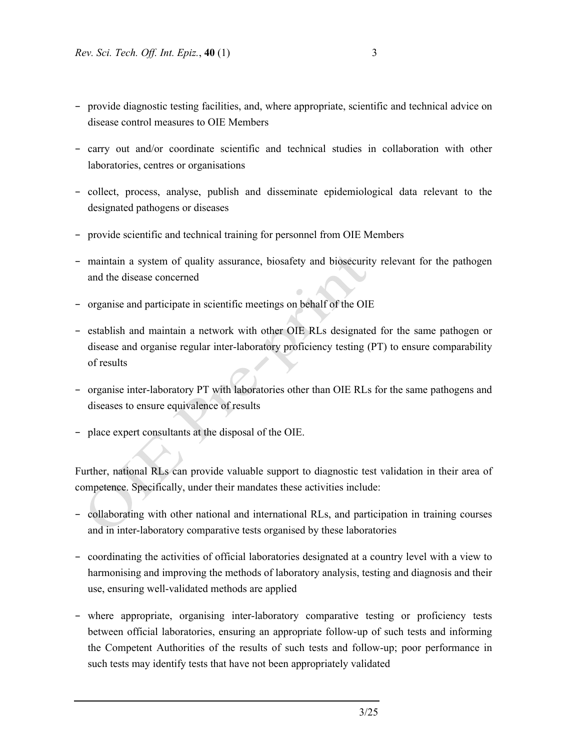- − provide diagnostic testing facilities, and, where appropriate, scientific and technical advice on disease control measures to OIE Members
- − carry out and/or coordinate scientific and technical studies in collaboration with other laboratories, centres or organisations
- − collect, process, analyse, publish and disseminate epidemiological data relevant to the designated pathogens or diseases
- − provide scientific and technical training for personnel from OIE Members
- − maintain a system of quality assurance, biosafety and biosecurity relevant for the pathogen and the disease concerned
- − organise and participate in scientific meetings on behalf of the OIE
- − establish and maintain a network with other OIE RLs designated for the same pathogen or disease and organise regular inter-laboratory proficiency testing (PT) to ensure comparability of results
- − organise inter-laboratory PT with laboratories other than OIE RLs for the same pathogens and diseases to ensure equivalence of results
- − place expert consultants at the disposal of the OIE.

Further, national RLs can provide valuable support to diagnostic test validation in their area of competence. Specifically, under their mandates these activities include:

- − collaborating with other national and international RLs, and participation in training courses and in inter-laboratory comparative tests organised by these laboratories
- − coordinating the activities of official laboratories designated at a country level with a view to harmonising and improving the methods of laboratory analysis, testing and diagnosis and their use, ensuring well-validated methods are applied
- − where appropriate, organising inter-laboratory comparative testing or proficiency tests between official laboratories, ensuring an appropriate follow-up of such tests and informing the Competent Authorities of the results of such tests and follow-up; poor performance in such tests may identify tests that have not been appropriately validated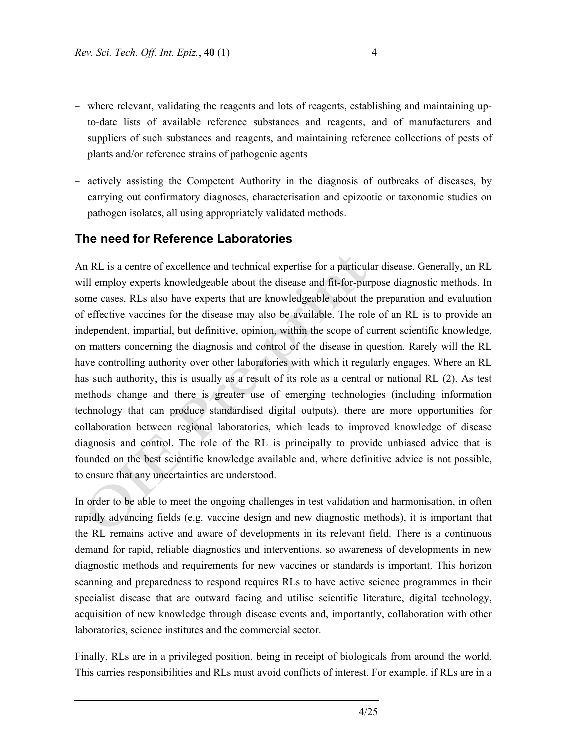- − where relevant, validating the reagents and lots of reagents, establishing and maintaining upto-date lists of available reference substances and reagents, and of manufacturers and suppliers of such substances and reagents, and maintaining reference collections of pests of plants and/or reference strains of pathogenic agents
- − actively assisting the Competent Authority in the diagnosis of outbreaks of diseases, by carrying out confirmatory diagnoses, characterisation and epizootic or taxonomic studies on pathogen isolates, all using appropriately validated methods.

## **The need for Reference Laboratories**

An RL is a centre of excellence and technical expertise for a particular disease. Generally, an RL will employ experts knowledgeable about the disease and fit-for-purpose diagnostic methods. In some cases, RLs also have experts that are knowledgeable about the preparation and evaluation of effective vaccines for the disease may also be available. The role of an RL is to provide an independent, impartial, but definitive, opinion, within the scope of current scientific knowledge, on matters concerning the diagnosis and control of the disease in question. Rarely will the RL have controlling authority over other laboratories with which it regularly engages. Where an RL has such authority, this is usually as a result of its role as a central or national RL (2). As test methods change and there is greater use of emerging technologies (including information technology that can produce standardised digital outputs), there are more opportunities for collaboration between regional laboratories, which leads to improved knowledge of disease diagnosis and control. The role of the RL is principally to provide unbiased advice that is founded on the best scientific knowledge available and, where definitive advice is not possible, to ensure that any uncertainties are understood.

In order to be able to meet the ongoing challenges in test validation and harmonisation, in often rapidly advancing fields (e.g. vaccine design and new diagnostic methods), it is important that the RL remains active and aware of developments in its relevant field. There is a continuous demand for rapid, reliable diagnostics and interventions, so awareness of developments in new diagnostic methods and requirements for new vaccines or standards is important. This horizon scanning and preparedness to respond requires RLs to have active science programmes in their specialist disease that are outward facing and utilise scientific literature, digital technology, acquisition of new knowledge through disease events and, importantly, collaboration with other laboratories, science institutes and the commercial sector.

Finally, RLs are in a privileged position, being in receipt of biologicals from around the world. This carries responsibilities and RLs must avoid conflicts of interest. For example, if RLs are in a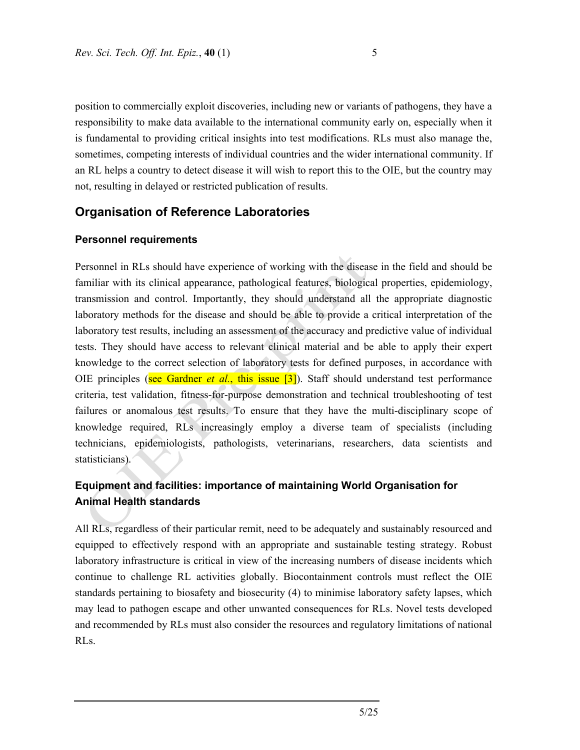position to commercially exploit discoveries, including new or variants of pathogens, they have a responsibility to make data available to the international community early on, especially when it is fundamental to providing critical insights into test modifications. RLs must also manage the, sometimes, competing interests of individual countries and the wider international community. If an RL helps a country to detect disease it will wish to report this to the OIE, but the country may not, resulting in delayed or restricted publication of results.

## **Organisation of Reference Laboratories**

#### **Personnel requirements**

Personnel in RLs should have experience of working with the disease in the field and should be familiar with its clinical appearance, pathological features, biological properties, epidemiology, transmission and control. Importantly, they should understand all the appropriate diagnostic laboratory methods for the disease and should be able to provide a critical interpretation of the laboratory test results, including an assessment of the accuracy and predictive value of individual tests. They should have access to relevant clinical material and be able to apply their expert knowledge to the correct selection of laboratory tests for defined purposes, in accordance with OIE principles (see Gardner *et al.*, this issue [3]). Staff should understand test performance criteria, test validation, fitness-for-purpose demonstration and technical troubleshooting of test failures or anomalous test results. To ensure that they have the multi-disciplinary scope of knowledge required, RLs increasingly employ a diverse team of specialists (including technicians, epidemiologists, pathologists, veterinarians, researchers, data scientists and statisticians).

# **Equipment and facilities: importance of maintaining World Organisation for Animal Health standards**

All RLs, regardless of their particular remit, need to be adequately and sustainably resourced and equipped to effectively respond with an appropriate and sustainable testing strategy. Robust laboratory infrastructure is critical in view of the increasing numbers of disease incidents which continue to challenge RL activities globally. Biocontainment controls must reflect the OIE standards pertaining to biosafety and biosecurity (4) to minimise laboratory safety lapses, which may lead to pathogen escape and other unwanted consequences for RLs. Novel tests developed and recommended by RLs must also consider the resources and regulatory limitations of national RLs.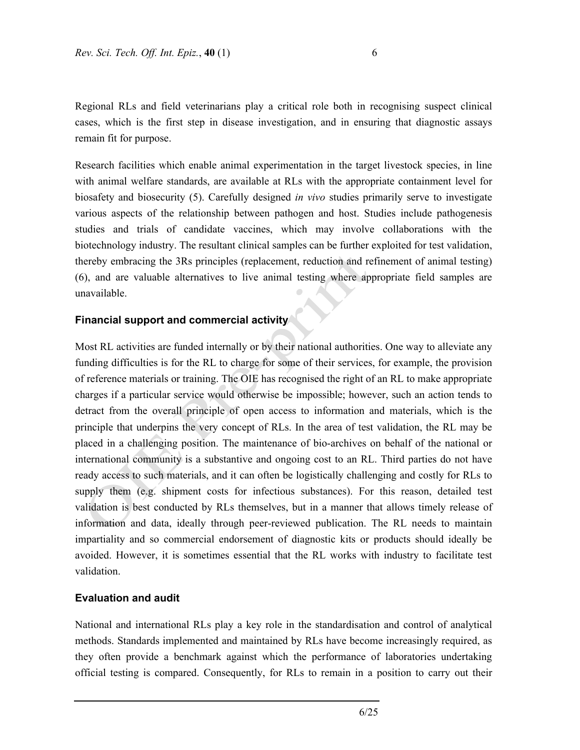Regional RLs and field veterinarians play a critical role both in recognising suspect clinical cases, which is the first step in disease investigation, and in ensuring that diagnostic assays remain fit for purpose.

Research facilities which enable animal experimentation in the target livestock species, in line with animal welfare standards, are available at RLs with the appropriate containment level for biosafety and biosecurity (5). Carefully designed *in vivo* studies primarily serve to investigate various aspects of the relationship between pathogen and host. Studies include pathogenesis studies and trials of candidate vaccines, which may involve collaborations with the biotechnology industry. The resultant clinical samples can be further exploited for test validation, thereby embracing the 3Rs principles (replacement, reduction and refinement of animal testing) (6), and are valuable alternatives to live animal testing where appropriate field samples are unavailable.

#### **Financial support and commercial activity**

Most RL activities are funded internally or by their national authorities. One way to alleviate any funding difficulties is for the RL to charge for some of their services, for example, the provision of reference materials or training. The OIE has recognised the right of an RL to make appropriate charges if a particular service would otherwise be impossible; however, such an action tends to detract from the overall principle of open access to information and materials, which is the principle that underpins the very concept of RLs. In the area of test validation, the RL may be placed in a challenging position. The maintenance of bio-archives on behalf of the national or international community is a substantive and ongoing cost to an RL. Third parties do not have ready access to such materials, and it can often be logistically challenging and costly for RLs to supply them (e.g. shipment costs for infectious substances). For this reason, detailed test validation is best conducted by RLs themselves, but in a manner that allows timely release of information and data, ideally through peer-reviewed publication. The RL needs to maintain impartiality and so commercial endorsement of diagnostic kits or products should ideally be avoided. However, it is sometimes essential that the RL works with industry to facilitate test validation.

#### **Evaluation and audit**

National and international RLs play a key role in the standardisation and control of analytical methods. Standards implemented and maintained by RLs have become increasingly required, as they often provide a benchmark against which the performance of laboratories undertaking official testing is compared. Consequently, for RLs to remain in a position to carry out their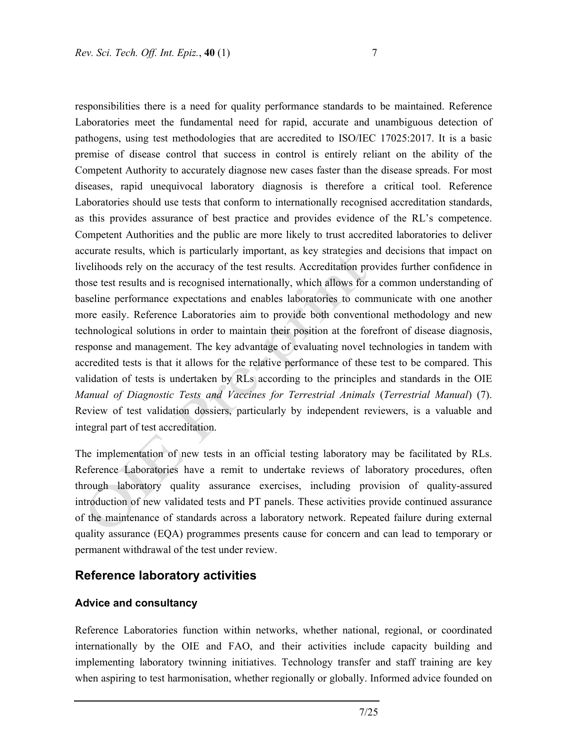responsibilities there is a need for quality performance standards to be maintained. Reference Laboratories meet the fundamental need for rapid, accurate and unambiguous detection of pathogens, using test methodologies that are accredited to ISO/IEC 17025:2017. It is a basic premise of disease control that success in control is entirely reliant on the ability of the Competent Authority to accurately diagnose new cases faster than the disease spreads. For most diseases, rapid unequivocal laboratory diagnosis is therefore a critical tool. Reference Laboratories should use tests that conform to internationally recognised accreditation standards, as this provides assurance of best practice and provides evidence of the RL's competence. Competent Authorities and the public are more likely to trust accredited laboratories to deliver accurate results, which is particularly important, as key strategies and decisions that impact on livelihoods rely on the accuracy of the test results. Accreditation provides further confidence in those test results and is recognised internationally, which allows for a common understanding of baseline performance expectations and enables laboratories to communicate with one another more easily. Reference Laboratories aim to provide both conventional methodology and new technological solutions in order to maintain their position at the forefront of disease diagnosis, response and management. The key advantage of evaluating novel technologies in tandem with accredited tests is that it allows for the relative performance of these test to be compared. This validation of tests is undertaken by RLs according to the principles and standards in the OIE *Manual of Diagnostic Tests and Vaccines for Terrestrial Animals* (*Terrestrial Manual*) (7). Review of test validation dossiers, particularly by independent reviewers, is a valuable and integral part of test accreditation.

The implementation of new tests in an official testing laboratory may be facilitated by RLs. Reference Laboratories have a remit to undertake reviews of laboratory procedures, often through laboratory quality assurance exercises, including provision of quality-assured introduction of new validated tests and PT panels. These activities provide continued assurance of the maintenance of standards across a laboratory network. Repeated failure during external quality assurance (EQA) programmes presents cause for concern and can lead to temporary or permanent withdrawal of the test under review.

## **Reference laboratory activities**

#### **Advice and consultancy**

Reference Laboratories function within networks, whether national, regional, or coordinated internationally by the OIE and FAO, and their activities include capacity building and implementing laboratory twinning initiatives. Technology transfer and staff training are key when aspiring to test harmonisation, whether regionally or globally. Informed advice founded on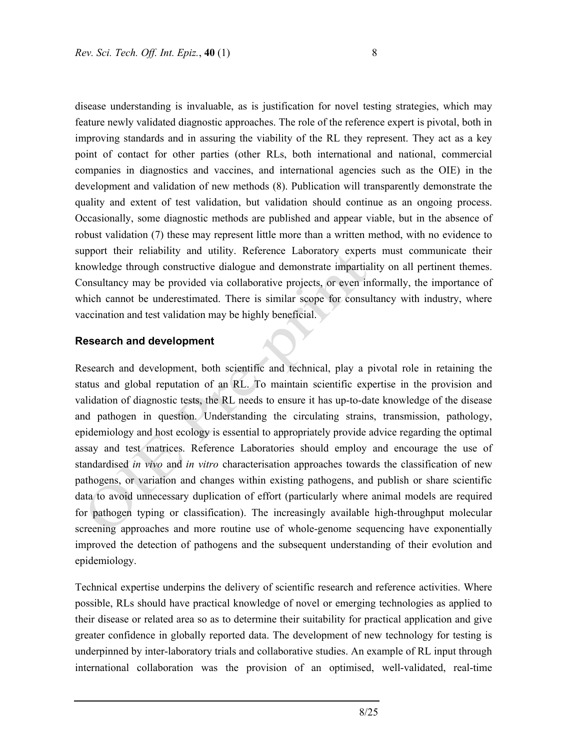disease understanding is invaluable, as is justification for novel testing strategies, which may feature newly validated diagnostic approaches. The role of the reference expert is pivotal, both in improving standards and in assuring the viability of the RL they represent. They act as a key point of contact for other parties (other RLs, both international and national, commercial companies in diagnostics and vaccines, and international agencies such as the OIE) in the development and validation of new methods (8). Publication will transparently demonstrate the quality and extent of test validation, but validation should continue as an ongoing process. Occasionally, some diagnostic methods are published and appear viable, but in the absence of robust validation (7) these may represent little more than a written method, with no evidence to support their reliability and utility. Reference Laboratory experts must communicate their knowledge through constructive dialogue and demonstrate impartiality on all pertinent themes. Consultancy may be provided via collaborative projects, or even informally, the importance of which cannot be underestimated. There is similar scope for consultancy with industry, where vaccination and test validation may be highly beneficial.

#### **Research and development**

Research and development, both scientific and technical, play a pivotal role in retaining the status and global reputation of an RL. To maintain scientific expertise in the provision and validation of diagnostic tests, the RL needs to ensure it has up-to-date knowledge of the disease and pathogen in question. Understanding the circulating strains, transmission, pathology, epidemiology and host ecology is essential to appropriately provide advice regarding the optimal assay and test matrices. Reference Laboratories should employ and encourage the use of standardised *in vivo* and *in vitro* characterisation approaches towards the classification of new pathogens, or variation and changes within existing pathogens, and publish or share scientific data to avoid unnecessary duplication of effort (particularly where animal models are required for pathogen typing or classification). The increasingly available high-throughput molecular screening approaches and more routine use of whole-genome sequencing have exponentially improved the detection of pathogens and the subsequent understanding of their evolution and epidemiology.

Technical expertise underpins the delivery of scientific research and reference activities. Where possible, RLs should have practical knowledge of novel or emerging technologies as applied to their disease or related area so as to determine their suitability for practical application and give greater confidence in globally reported data. The development of new technology for testing is underpinned by inter-laboratory trials and collaborative studies. An example of RL input through international collaboration was the provision of an optimised, well-validated, real-time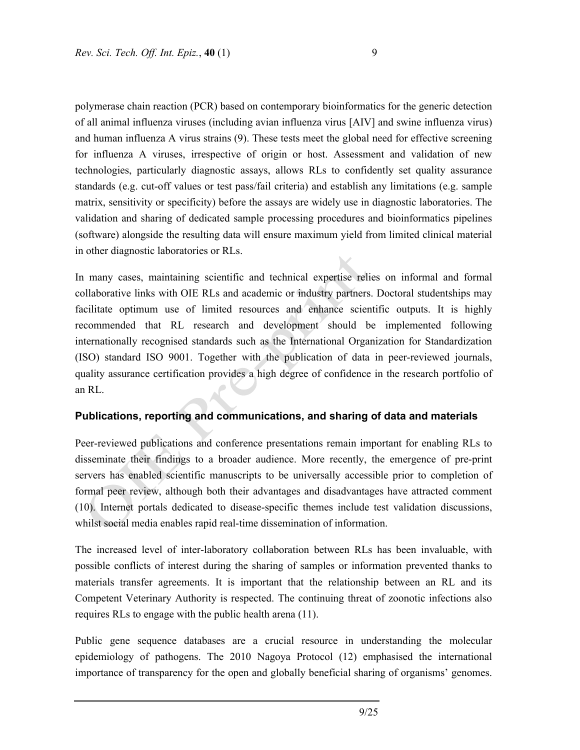polymerase chain reaction (PCR) based on contemporary bioinformatics for the generic detection of all animal influenza viruses (including avian influenza virus [AIV] and swine influenza virus) and human influenza A virus strains (9). These tests meet the global need for effective screening for influenza A viruses, irrespective of origin or host. Assessment and validation of new technologies, particularly diagnostic assays, allows RLs to confidently set quality assurance standards (e.g. cut-off values or test pass/fail criteria) and establish any limitations (e.g. sample matrix, sensitivity or specificity) before the assays are widely use in diagnostic laboratories. The validation and sharing of dedicated sample processing procedures and bioinformatics pipelines (software) alongside the resulting data will ensure maximum yield from limited clinical material in other diagnostic laboratories or RLs.

In many cases, maintaining scientific and technical expertise relies on informal and formal collaborative links with OIE RLs and academic or industry partners. Doctoral studentships may facilitate optimum use of limited resources and enhance scientific outputs. It is highly recommended that RL research and development should be implemented following internationally recognised standards such as the International Organization for Standardization (ISO) standard ISO 9001. Together with the publication of data in peer-reviewed journals, quality assurance certification provides a high degree of confidence in the research portfolio of an RL.

#### **Publications, reporting and communications, and sharing of data and materials**

Peer-reviewed publications and conference presentations remain important for enabling RLs to disseminate their findings to a broader audience. More recently, the emergence of pre-print servers has enabled scientific manuscripts to be universally accessible prior to completion of formal peer review, although both their advantages and disadvantages have attracted comment (10). Internet portals dedicated to disease-specific themes include test validation discussions, whilst social media enables rapid real-time dissemination of information.

The increased level of inter-laboratory collaboration between RLs has been invaluable, with possible conflicts of interest during the sharing of samples or information prevented thanks to materials transfer agreements. It is important that the relationship between an RL and its Competent Veterinary Authority is respected. The continuing threat of zoonotic infections also requires RLs to engage with the public health arena (11).

Public gene sequence databases are a crucial resource in understanding the molecular epidemiology of pathogens. The 2010 Nagoya Protocol (12) emphasised the international importance of transparency for the open and globally beneficial sharing of organisms' genomes.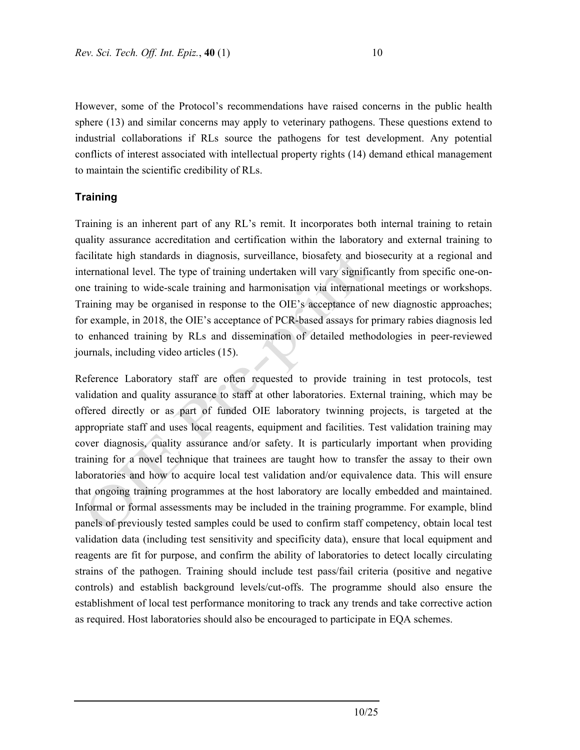However, some of the Protocol's recommendations have raised concerns in the public health sphere (13) and similar concerns may apply to veterinary pathogens. These questions extend to industrial collaborations if RLs source the pathogens for test development. Any potential conflicts of interest associated with intellectual property rights (14) demand ethical management to maintain the scientific credibility of RLs.

#### **Training**

Training is an inherent part of any RL's remit. It incorporates both internal training to retain quality assurance accreditation and certification within the laboratory and external training to facilitate high standards in diagnosis, surveillance, biosafety and biosecurity at a regional and international level. The type of training undertaken will vary significantly from specific one-onone training to wide-scale training and harmonisation via international meetings or workshops. Training may be organised in response to the OIE's acceptance of new diagnostic approaches; for example, in 2018, the OIE's acceptance of PCR-based assays for primary rabies diagnosis led to enhanced training by RLs and dissemination of detailed methodologies in peer-reviewed journals, including video articles (15).

Reference Laboratory staff are often requested to provide training in test protocols, test validation and quality assurance to staff at other laboratories. External training, which may be offered directly or as part of funded OIE laboratory twinning projects, is targeted at the appropriate staff and uses local reagents, equipment and facilities. Test validation training may cover diagnosis, quality assurance and/or safety. It is particularly important when providing training for a novel technique that trainees are taught how to transfer the assay to their own laboratories and how to acquire local test validation and/or equivalence data. This will ensure that ongoing training programmes at the host laboratory are locally embedded and maintained. Informal or formal assessments may be included in the training programme. For example, blind panels of previously tested samples could be used to confirm staff competency, obtain local test validation data (including test sensitivity and specificity data), ensure that local equipment and reagents are fit for purpose, and confirm the ability of laboratories to detect locally circulating strains of the pathogen. Training should include test pass/fail criteria (positive and negative controls) and establish background levels/cut-offs. The programme should also ensure the establishment of local test performance monitoring to track any trends and take corrective action as required. Host laboratories should also be encouraged to participate in EQA schemes.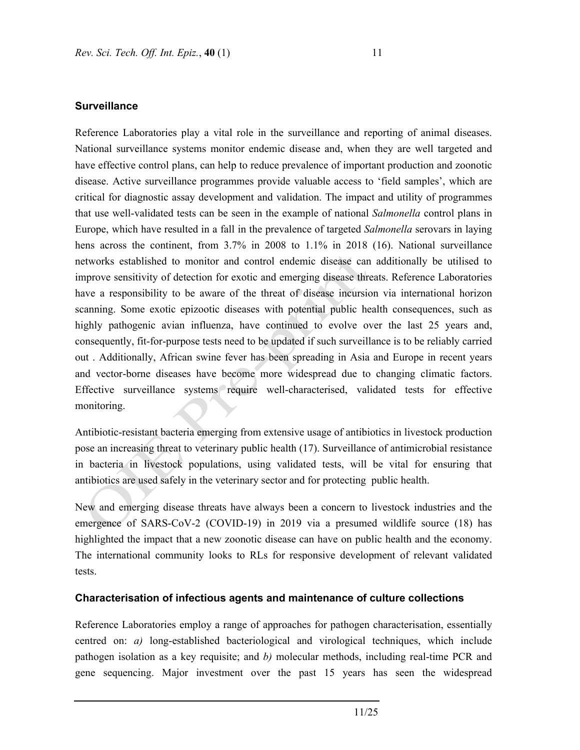#### **Surveillance**

Reference Laboratories play a vital role in the surveillance and reporting of animal diseases. National surveillance systems monitor endemic disease and, when they are well targeted and have effective control plans, can help to reduce prevalence of important production and zoonotic disease. Active surveillance programmes provide valuable access to 'field samples', which are critical for diagnostic assay development and validation. The impact and utility of programmes that use well-validated tests can be seen in the example of national *Salmonella* control plans in Europe, which have resulted in a fall in the prevalence of targeted *Salmonella* serovars in laying hens across the continent, from 3.7% in 2008 to 1.1% in 2018 (16). National surveillance networks established to monitor and control endemic disease can additionally be utilised to improve sensitivity of detection for exotic and emerging disease threats. Reference Laboratories have a responsibility to be aware of the threat of disease incursion via international horizon scanning. Some exotic epizootic diseases with potential public health consequences, such as highly pathogenic avian influenza, have continued to evolve over the last 25 years and, consequently, fit-for-purpose tests need to be updated if such surveillance is to be reliably carried out . Additionally, African swine fever has been spreading in Asia and Europe in recent years and vector-borne diseases have become more widespread due to changing climatic factors. Effective surveillance systems require well-characterised, validated tests for effective monitoring.

Antibiotic-resistant bacteria emerging from extensive usage of antibiotics in livestock production pose an increasing threat to veterinary public health (17). Surveillance of antimicrobial resistance in bacteria in livestock populations, using validated tests, will be vital for ensuring that antibiotics are used safely in the veterinary sector and for protecting public health.

New and emerging disease threats have always been a concern to livestock industries and the emergence of SARS-CoV-2 (COVID-19) in 2019 via a presumed wildlife source (18) has highlighted the impact that a new zoonotic disease can have on public health and the economy. The international community looks to RLs for responsive development of relevant validated tests.

#### **Characterisation of infectious agents and maintenance of culture collections**

Reference Laboratories employ a range of approaches for pathogen characterisation, essentially centred on: *a)* long-established bacteriological and virological techniques, which include pathogen isolation as a key requisite; and *b)* molecular methods, including real-time PCR and gene sequencing. Major investment over the past 15 years has seen the widespread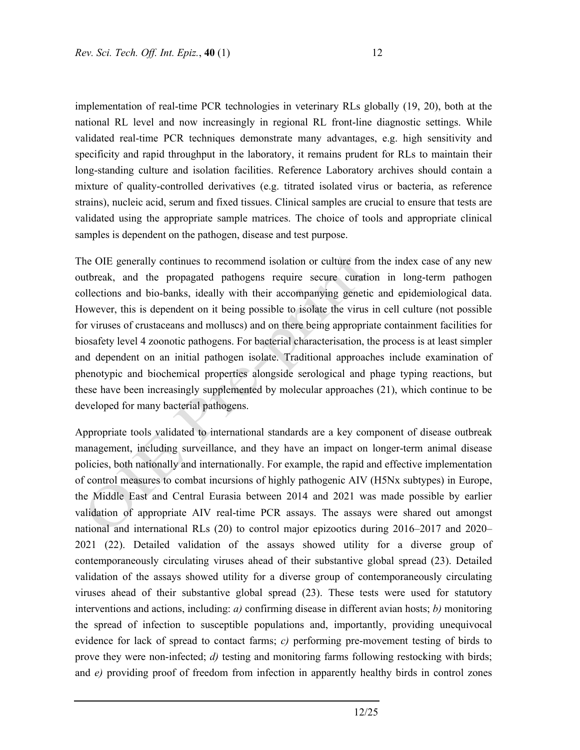implementation of real-time PCR technologies in veterinary RLs globally (19, 20), both at the national RL level and now increasingly in regional RL front-line diagnostic settings. While validated real-time PCR techniques demonstrate many advantages, e.g. high sensitivity and specificity and rapid throughput in the laboratory, it remains prudent for RLs to maintain their long-standing culture and isolation facilities. Reference Laboratory archives should contain a mixture of quality-controlled derivatives (e.g. titrated isolated virus or bacteria, as reference strains), nucleic acid, serum and fixed tissues. Clinical samples are crucial to ensure that tests are validated using the appropriate sample matrices. The choice of tools and appropriate clinical samples is dependent on the pathogen, disease and test purpose.

The OIE generally continues to recommend isolation or culture from the index case of any new outbreak, and the propagated pathogens require secure curation in long-term pathogen collections and bio-banks, ideally with their accompanying genetic and epidemiological data. However, this is dependent on it being possible to isolate the virus in cell culture (not possible for viruses of crustaceans and molluscs) and on there being appropriate containment facilities for biosafety level 4 zoonotic pathogens. For bacterial characterisation, the process is at least simpler and dependent on an initial pathogen isolate. Traditional approaches include examination of phenotypic and biochemical properties alongside serological and phage typing reactions, but these have been increasingly supplemented by molecular approaches (21), which continue to be developed for many bacterial pathogens.

Appropriate tools validated to international standards are a key component of disease outbreak management, including surveillance, and they have an impact on longer-term animal disease policies, both nationally and internationally. For example, the rapid and effective implementation of control measures to combat incursions of highly pathogenic AIV (H5Nx subtypes) in Europe, the Middle East and Central Eurasia between 2014 and 2021 was made possible by earlier validation of appropriate AIV real-time PCR assays. The assays were shared out amongst national and international RLs (20) to control major epizootics during 2016–2017 and 2020– 2021 (22). Detailed validation of the assays showed utility for a diverse group of contemporaneously circulating viruses ahead of their substantive global spread (23). Detailed validation of the assays showed utility for a diverse group of contemporaneously circulating viruses ahead of their substantive global spread (23). These tests were used for statutory interventions and actions, including: *a)* confirming disease in different avian hosts; *b)* monitoring the spread of infection to susceptible populations and, importantly, providing unequivocal evidence for lack of spread to contact farms; *c)* performing pre-movement testing of birds to prove they were non-infected; *d*) testing and monitoring farms following restocking with birds; and *e)* providing proof of freedom from infection in apparently healthy birds in control zones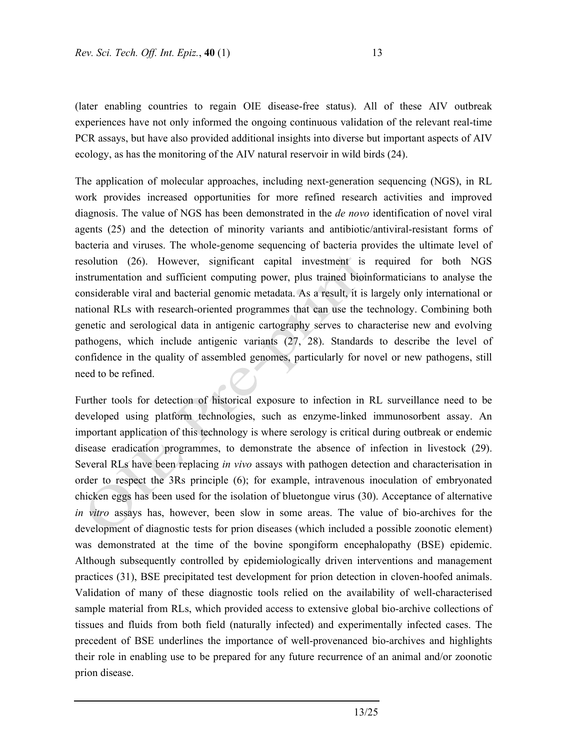(later enabling countries to regain OIE disease-free status). All of these AIV outbreak experiences have not only informed the ongoing continuous validation of the relevant real-time PCR assays, but have also provided additional insights into diverse but important aspects of AIV ecology, as has the monitoring of the AIV natural reservoir in wild birds (24).

The application of molecular approaches, including next-generation sequencing (NGS), in RL work provides increased opportunities for more refined research activities and improved diagnosis. The value of NGS has been demonstrated in the *de novo* identification of novel viral agents (25) and the detection of minority variants and antibiotic/antiviral-resistant forms of bacteria and viruses. The whole-genome sequencing of bacteria provides the ultimate level of resolution (26). However, significant capital investment is required for both NGS instrumentation and sufficient computing power, plus trained bioinformaticians to analyse the considerable viral and bacterial genomic metadata. As a result, it is largely only international or national RLs with research-oriented programmes that can use the technology. Combining both genetic and serological data in antigenic cartography serves to characterise new and evolving pathogens, which include antigenic variants (27, 28). Standards to describe the level of confidence in the quality of assembled genomes, particularly for novel or new pathogens, still need to be refined.

Further tools for detection of historical exposure to infection in RL surveillance need to be developed using platform technologies, such as enzyme-linked immunosorbent assay. An important application of this technology is where serology is critical during outbreak or endemic disease eradication programmes, to demonstrate the absence of infection in livestock (29). Several RLs have been replacing *in vivo* assays with pathogen detection and characterisation in order to respect the 3Rs principle (6); for example, intravenous inoculation of embryonated chicken eggs has been used for the isolation of bluetongue virus (30). Acceptance of alternative *in vitro* assays has, however, been slow in some areas. The value of bio-archives for the development of diagnostic tests for prion diseases (which included a possible zoonotic element) was demonstrated at the time of the bovine spongiform encephalopathy (BSE) epidemic. Although subsequently controlled by epidemiologically driven interventions and management practices (31), BSE precipitated test development for prion detection in cloven-hoofed animals. Validation of many of these diagnostic tools relied on the availability of well-characterised sample material from RLs, which provided access to extensive global bio-archive collections of tissues and fluids from both field (naturally infected) and experimentally infected cases. The precedent of BSE underlines the importance of well-provenanced bio-archives and highlights their role in enabling use to be prepared for any future recurrence of an animal and/or zoonotic prion disease.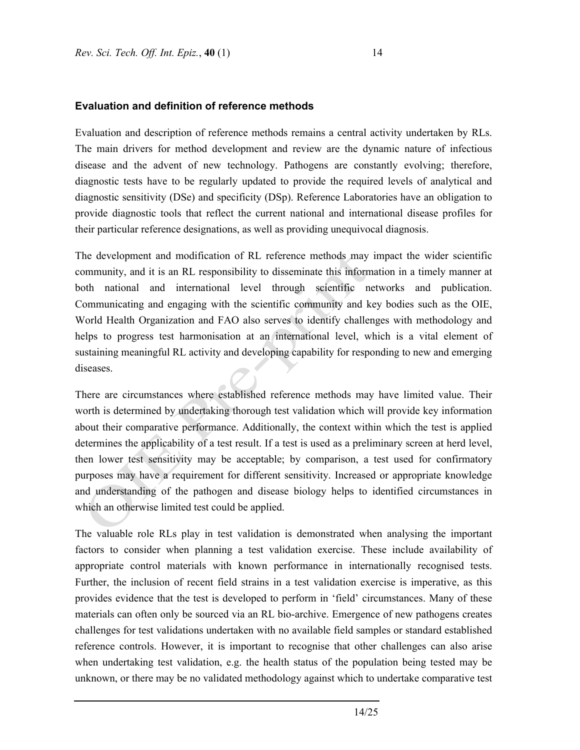#### **Evaluation and definition of reference methods**

Evaluation and description of reference methods remains a central activity undertaken by RLs. The main drivers for method development and review are the dynamic nature of infectious disease and the advent of new technology. Pathogens are constantly evolving; therefore, diagnostic tests have to be regularly updated to provide the required levels of analytical and diagnostic sensitivity (DSe) and specificity (DSp). Reference Laboratories have an obligation to provide diagnostic tools that reflect the current national and international disease profiles for their particular reference designations, as well as providing unequivocal diagnosis.

The development and modification of RL reference methods may impact the wider scientific community, and it is an RL responsibility to disseminate this information in a timely manner at both national and international level through scientific networks and publication. Communicating and engaging with the scientific community and key bodies such as the OIE, World Health Organization and FAO also serves to identify challenges with methodology and helps to progress test harmonisation at an international level, which is a vital element of sustaining meaningful RL activity and developing capability for responding to new and emerging diseases.

There are circumstances where established reference methods may have limited value. Their worth is determined by undertaking thorough test validation which will provide key information about their comparative performance. Additionally, the context within which the test is applied determines the applicability of a test result. If a test is used as a preliminary screen at herd level, then lower test sensitivity may be acceptable; by comparison, a test used for confirmatory purposes may have a requirement for different sensitivity. Increased or appropriate knowledge and understanding of the pathogen and disease biology helps to identified circumstances in which an otherwise limited test could be applied.

The valuable role RLs play in test validation is demonstrated when analysing the important factors to consider when planning a test validation exercise. These include availability of appropriate control materials with known performance in internationally recognised tests. Further, the inclusion of recent field strains in a test validation exercise is imperative, as this provides evidence that the test is developed to perform in 'field' circumstances. Many of these materials can often only be sourced via an RL bio-archive. Emergence of new pathogens creates challenges for test validations undertaken with no available field samples or standard established reference controls. However, it is important to recognise that other challenges can also arise when undertaking test validation, e.g. the health status of the population being tested may be unknown, or there may be no validated methodology against which to undertake comparative test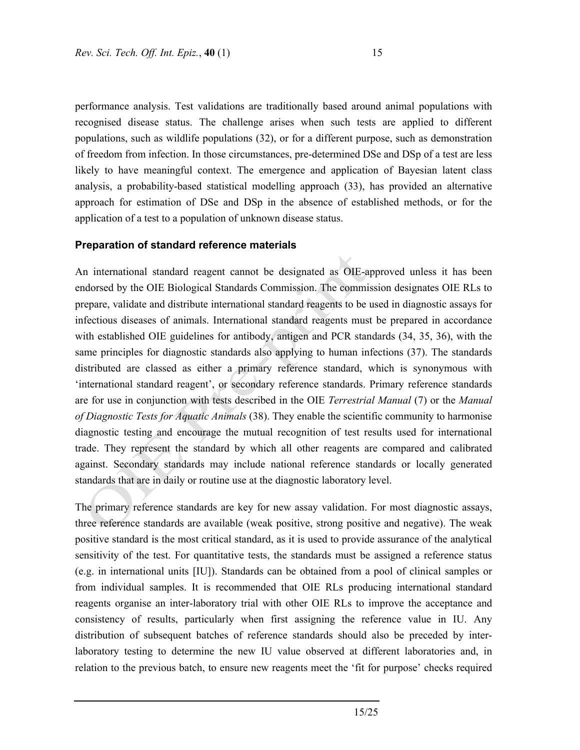performance analysis. Test validations are traditionally based around animal populations with recognised disease status. The challenge arises when such tests are applied to different populations, such as wildlife populations (32), or for a different purpose, such as demonstration of freedom from infection. In those circumstances, pre-determined DSe and DSp of a test are less likely to have meaningful context. The emergence and application of Bayesian latent class analysis, a probability-based statistical modelling approach (33), has provided an alternative approach for estimation of DSe and DSp in the absence of established methods, or for the application of a test to a population of unknown disease status.

#### **Preparation of standard reference materials**

An international standard reagent cannot be designated as OIE-approved unless it has been endorsed by the OIE Biological Standards Commission. The commission designates OIE RLs to prepare, validate and distribute international standard reagents to be used in diagnostic assays for infectious diseases of animals. International standard reagents must be prepared in accordance with established OIE guidelines for antibody, antigen and PCR standards (34, 35, 36), with the same principles for diagnostic standards also applying to human infections (37). The standards distributed are classed as either a primary reference standard, which is synonymous with 'international standard reagent', or secondary reference standards. Primary reference standards are for use in conjunction with tests described in the OIE *Terrestrial Manual* (7) or the *Manual of Diagnostic Tests for Aquatic Animals* (38). They enable the scientific community to harmonise diagnostic testing and encourage the mutual recognition of test results used for international trade. They represent the standard by which all other reagents are compared and calibrated against. Secondary standards may include national reference standards or locally generated standards that are in daily or routine use at the diagnostic laboratory level.

The primary reference standards are key for new assay validation. For most diagnostic assays, three reference standards are available (weak positive, strong positive and negative). The weak positive standard is the most critical standard, as it is used to provide assurance of the analytical sensitivity of the test. For quantitative tests, the standards must be assigned a reference status (e.g. in international units [IU]). Standards can be obtained from a pool of clinical samples or from individual samples. It is recommended that OIE RLs producing international standard reagents organise an inter-laboratory trial with other OIE RLs to improve the acceptance and consistency of results, particularly when first assigning the reference value in IU. Any distribution of subsequent batches of reference standards should also be preceded by interlaboratory testing to determine the new IU value observed at different laboratories and, in relation to the previous batch, to ensure new reagents meet the 'fit for purpose' checks required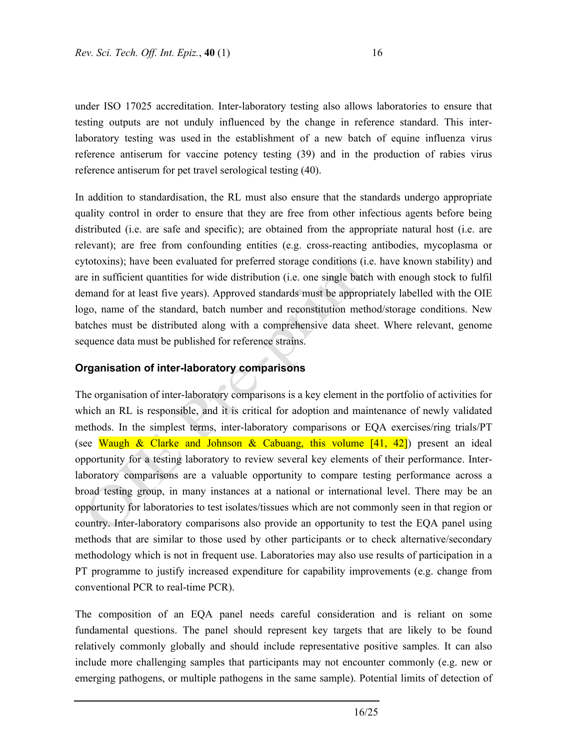under ISO 17025 accreditation. Inter-laboratory testing also allows laboratories to ensure that testing outputs are not unduly influenced by the change in reference standard. This interlaboratory testing was used in the establishment of a new batch of equine influenza virus reference antiserum for vaccine potency testing (39) and in the production of rabies virus reference antiserum for pet travel serological testing (40).

In addition to standardisation, the RL must also ensure that the standards undergo appropriate quality control in order to ensure that they are free from other infectious agents before being distributed (i.e. are safe and specific); are obtained from the appropriate natural host (i.e. are relevant); are free from confounding entities (e.g. cross-reacting antibodies, mycoplasma or cytotoxins); have been evaluated for preferred storage conditions (i.e. have known stability) and are in sufficient quantities for wide distribution (i.e. one single batch with enough stock to fulfil demand for at least five years). Approved standards must be appropriately labelled with the OIE logo, name of the standard, batch number and reconstitution method/storage conditions. New batches must be distributed along with a comprehensive data sheet. Where relevant, genome sequence data must be published for reference strains.

#### **Organisation of inter-laboratory comparisons**

The organisation of inter-laboratory comparisons is a key element in the portfolio of activities for which an RL is responsible, and it is critical for adoption and maintenance of newly validated methods. In the simplest terms, inter-laboratory comparisons or EQA exercises/ring trials/PT (see Waugh & Clarke and Johnson & Cabuang, this volume  $[41, 42]$ ) present an ideal opportunity for a testing laboratory to review several key elements of their performance. Interlaboratory comparisons are a valuable opportunity to compare testing performance across a broad testing group, in many instances at a national or international level. There may be an opportunity for laboratories to test isolates/tissues which are not commonly seen in that region or country. Inter-laboratory comparisons also provide an opportunity to test the EQA panel using methods that are similar to those used by other participants or to check alternative/secondary methodology which is not in frequent use. Laboratories may also use results of participation in a PT programme to justify increased expenditure for capability improvements (e.g. change from conventional PCR to real-time PCR).

The composition of an EQA panel needs careful consideration and is reliant on some fundamental questions. The panel should represent key targets that are likely to be found relatively commonly globally and should include representative positive samples. It can also include more challenging samples that participants may not encounter commonly (e.g. new or emerging pathogens, or multiple pathogens in the same sample). Potential limits of detection of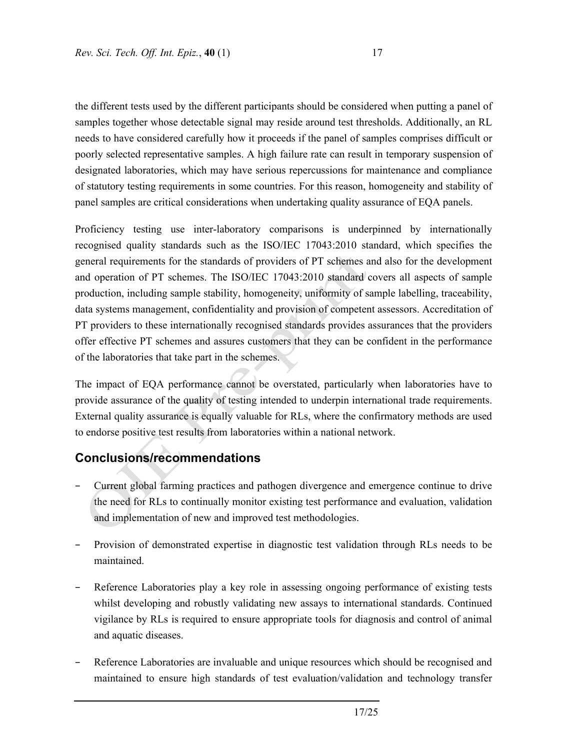the different tests used by the different participants should be considered when putting a panel of samples together whose detectable signal may reside around test thresholds. Additionally, an RL needs to have considered carefully how it proceeds if the panel of samples comprises difficult or poorly selected representative samples. A high failure rate can result in temporary suspension of designated laboratories, which may have serious repercussions for maintenance and compliance of statutory testing requirements in some countries. For this reason, homogeneity and stability of panel samples are critical considerations when undertaking quality assurance of EQA panels.

Proficiency testing use inter-laboratory comparisons is underpinned by internationally recognised quality standards such as the ISO/IEC 17043:2010 standard, which specifies the general requirements for the standards of providers of PT schemes and also for the development and operation of PT schemes. The ISO/IEC 17043:2010 standard covers all aspects of sample production, including sample stability, homogeneity, uniformity of sample labelling, traceability, data systems management, confidentiality and provision of competent assessors. Accreditation of PT providers to these internationally recognised standards provides assurances that the providers offer effective PT schemes and assures customers that they can be confident in the performance of the laboratories that take part in the schemes.

The impact of EQA performance cannot be overstated, particularly when laboratories have to provide assurance of the quality of testing intended to underpin international trade requirements. External quality assurance is equally valuable for RLs, where the confirmatory methods are used to endorse positive test results from laboratories within a national network.

# **Conclusions/recommendations**

- − Current global farming practices and pathogen divergence and emergence continue to drive the need for RLs to continually monitor existing test performance and evaluation, validation and implementation of new and improved test methodologies.
- Provision of demonstrated expertise in diagnostic test validation through RLs needs to be maintained.
- Reference Laboratories play a key role in assessing ongoing performance of existing tests whilst developing and robustly validating new assays to international standards. Continued vigilance by RLs is required to ensure appropriate tools for diagnosis and control of animal and aquatic diseases.
- Reference Laboratories are invaluable and unique resources which should be recognised and maintained to ensure high standards of test evaluation/validation and technology transfer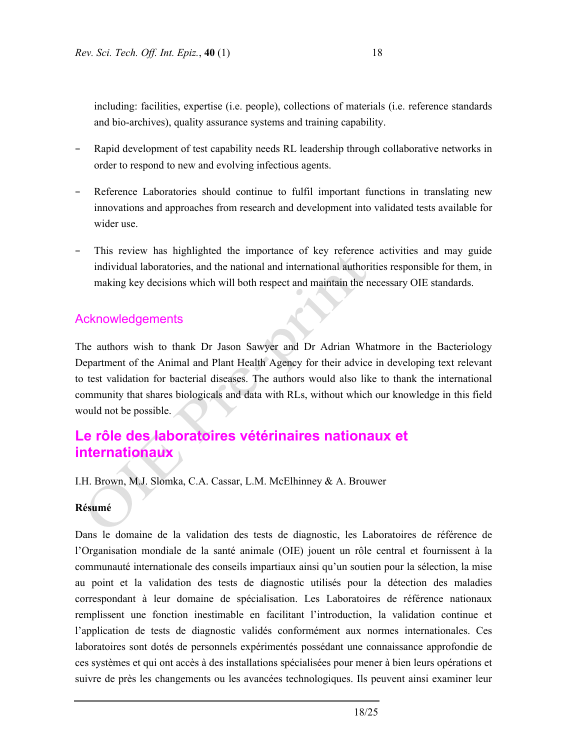including: facilities, expertise (i.e. people), collections of materials (i.e. reference standards and bio-archives), quality assurance systems and training capability.

- Rapid development of test capability needs RL leadership through collaborative networks in order to respond to new and evolving infectious agents.
- Reference Laboratories should continue to fulfil important functions in translating new innovations and approaches from research and development into validated tests available for wider use.
- This review has highlighted the importance of key reference activities and may guide individual laboratories, and the national and international authorities responsible for them, in making key decisions which will both respect and maintain the necessary OIE standards.

## Acknowledgements

The authors wish to thank Dr Jason Sawyer and Dr Adrian Whatmore in the Bacteriology Department of the Animal and Plant Health Agency for their advice in developing text relevant to test validation for bacterial diseases. The authors would also like to thank the international community that shares biologicals and data with RLs, without which our knowledge in this field would not be possible.

# **Le rôle des laboratoires vétérinaires nationaux et internationaux**

I.H. Brown, M.J. Slomka, C.A. Cassar, L.M. McElhinney & A. Brouwer

#### **Résumé**

Dans le domaine de la validation des tests de diagnostic, les Laboratoires de référence de l'Organisation mondiale de la santé animale (OIE) jouent un rôle central et fournissent à la communauté internationale des conseils impartiaux ainsi qu'un soutien pour la sélection, la mise au point et la validation des tests de diagnostic utilisés pour la détection des maladies correspondant à leur domaine de spécialisation. Les Laboratoires de référence nationaux remplissent une fonction inestimable en facilitant l'introduction, la validation continue et l'application de tests de diagnostic validés conformément aux normes internationales. Ces laboratoires sont dotés de personnels expérimentés possédant une connaissance approfondie de ces systèmes et qui ont accès à des installations spécialisées pour mener à bien leurs opérations et suivre de près les changements ou les avancées technologiques. Ils peuvent ainsi examiner leur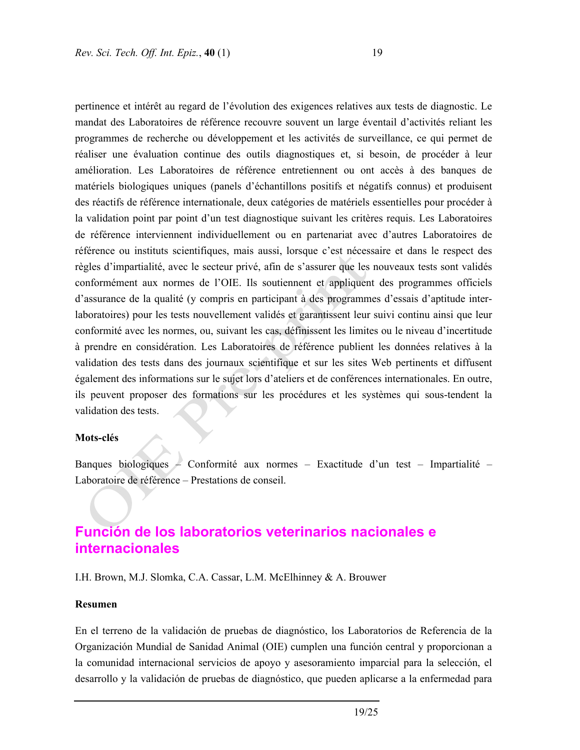pertinence et intérêt au regard de l'évolution des exigences relatives aux tests de diagnostic. Le mandat des Laboratoires de référence recouvre souvent un large éventail d'activités reliant les programmes de recherche ou développement et les activités de surveillance, ce qui permet de réaliser une évaluation continue des outils diagnostiques et, si besoin, de procéder à leur amélioration. Les Laboratoires de référence entretiennent ou ont accès à des banques de matériels biologiques uniques (panels d'échantillons positifs et négatifs connus) et produisent des réactifs de référence internationale, deux catégories de matériels essentielles pour procéder à la validation point par point d'un test diagnostique suivant les critères requis. Les Laboratoires de référence interviennent individuellement ou en partenariat avec d'autres Laboratoires de référence ou instituts scientifiques, mais aussi, lorsque c'est nécessaire et dans le respect des règles d'impartialité, avec le secteur privé, afin de s'assurer que les nouveaux tests sont validés conformément aux normes de l'OIE. Ils soutiennent et appliquent des programmes officiels d'assurance de la qualité (y compris en participant à des programmes d'essais d'aptitude interlaboratoires) pour les tests nouvellement validés et garantissent leur suivi continu ainsi que leur conformité avec les normes, ou, suivant les cas, définissent les limites ou le niveau d'incertitude à prendre en considération. Les Laboratoires de référence publient les données relatives à la validation des tests dans des journaux scientifique et sur les sites Web pertinents et diffusent également des informations sur le sujet lors d'ateliers et de conférences internationales. En outre, ils peuvent proposer des formations sur les procédures et les systèmes qui sous-tendent la validation des tests.

#### **Mots-clés**

Banques biologiques – Conformité aux normes – Exactitude d'un test – Impartialité – Laboratoire de référence – Prestations de conseil.

# **Función de los laboratorios veterinarios nacionales e internacionales**

I.H. Brown, M.J. Slomka, C.A. Cassar, L.M. McElhinney & A. Brouwer

#### **Resumen**

En el terreno de la validación de pruebas de diagnóstico, los Laboratorios de Referencia de la Organización Mundial de Sanidad Animal (OIE) cumplen una función central y proporcionan a la comunidad internacional servicios de apoyo y asesoramiento imparcial para la selección, el desarrollo y la validación de pruebas de diagnóstico, que pueden aplicarse a la enfermedad para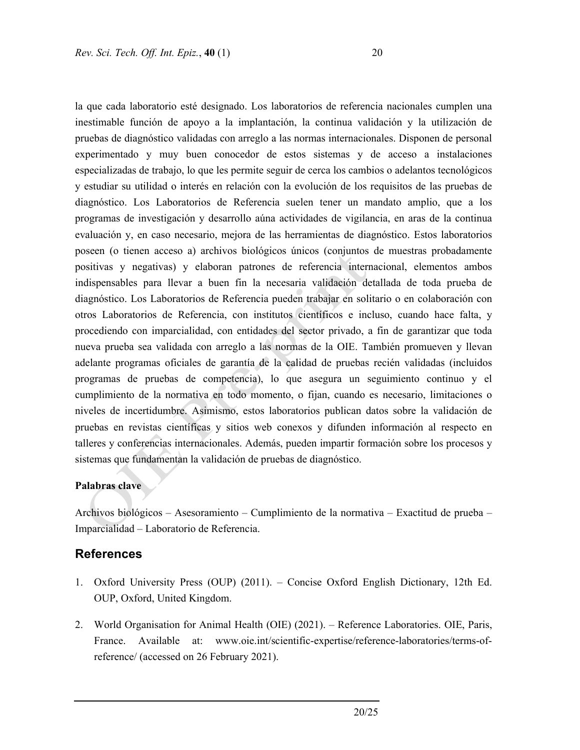la que cada laboratorio esté designado. Los laboratorios de referencia nacionales cumplen una inestimable función de apoyo a la implantación, la continua validación y la utilización de pruebas de diagnóstico validadas con arreglo a las normas internacionales. Disponen de personal experimentado y muy buen conocedor de estos sistemas y de acceso a instalaciones especializadas de trabajo, lo que les permite seguir de cerca los cambios o adelantos tecnológicos y estudiar su utilidad o interés en relación con la evolución de los requisitos de las pruebas de diagnóstico. Los Laboratorios de Referencia suelen tener un mandato amplio, que a los programas de investigación y desarrollo aúna actividades de vigilancia, en aras de la continua evaluación y, en caso necesario, mejora de las herramientas de diagnóstico. Estos laboratorios poseen (o tienen acceso a) archivos biológicos únicos (conjuntos de muestras probadamente positivas y negativas) y elaboran patrones de referencia internacional, elementos ambos indispensables para llevar a buen fin la necesaria validación detallada de toda prueba de diagnóstico. Los Laboratorios de Referencia pueden trabajar en solitario o en colaboración con otros Laboratorios de Referencia, con institutos científicos e incluso, cuando hace falta, y procediendo con imparcialidad, con entidades del sector privado, a fin de garantizar que toda nueva prueba sea validada con arreglo a las normas de la OIE. También promueven y llevan adelante programas oficiales de garantía de la calidad de pruebas recién validadas (incluidos programas de pruebas de competencia), lo que asegura un seguimiento continuo y el cumplimiento de la normativa en todo momento, o fijan, cuando es necesario, limitaciones o niveles de incertidumbre. Asimismo, estos laboratorios publican datos sobre la validación de pruebas en revistas científicas y sitios web conexos y difunden información al respecto en talleres y conferencias internacionales. Además, pueden impartir formación sobre los procesos y sistemas que fundamentan la validación de pruebas de diagnóstico.

#### **Palabras clave**

Archivos biológicos – Asesoramiento – Cumplimiento de la normativa – Exactitud de prueba – Imparcialidad – Laboratorio de Referencia.

### **References**

- 1. Oxford University Press (OUP) (2011). Concise Oxford English Dictionary, 12th Ed. OUP, Oxford, United Kingdom.
- 2. World Organisation for Animal Health (OIE) (2021). Reference Laboratories. OIE, Paris, France. Available at: www.oie.int/scientific-expertise/reference-laboratories/terms-ofreference/ (accessed on 26 February 2021).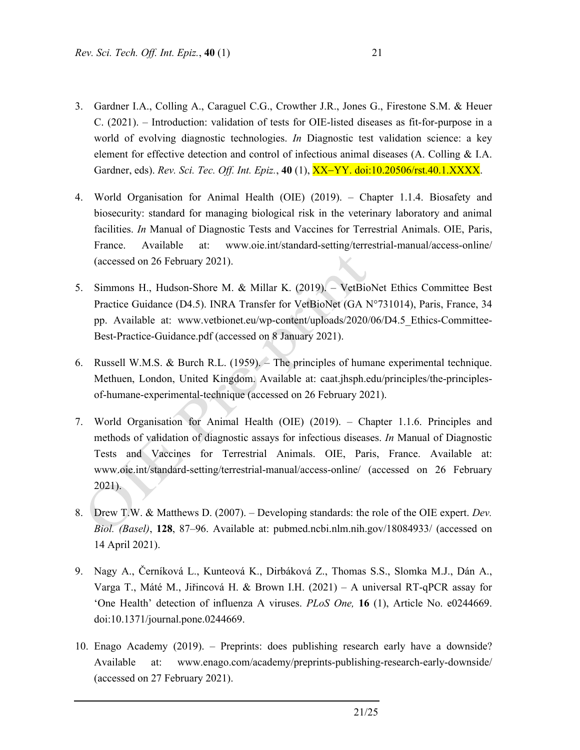- 3. Gardner I.A., Colling A., Caraguel C.G., Crowther J.R., Jones G., Firestone S.M. & Heuer C. (2021). – Introduction: validation of tests for OIE-listed diseases as fit-for-purpose in a world of evolving diagnostic technologies. *In* Diagnostic test validation science: a key element for effective detection and control of infectious animal diseases (A. Colling & I.A. Gardner, eds). *Rev. Sci. Tec. Off. Int. Epiz.*, 40 (1), XX-YY. doi:10.20506/rst.40.1.XXXX.
- 4. World Organisation for Animal Health (OIE) (2019). Chapter 1.1.4. Biosafety and biosecurity: standard for managing biological risk in the veterinary laboratory and animal facilities. *In* Manual of Diagnostic Tests and Vaccines for Terrestrial Animals. OIE, Paris, France. Available at: www.oie.int/standard-setting/terrestrial-manual/access-online/ (accessed on 26 February 2021).
- 5. Simmons H., Hudson-Shore M. & Millar K. (2019). VetBioNet Ethics Committee Best Practice Guidance (D4.5). INRA Transfer for VetBioNet (GA N°731014), Paris, France, 34 pp. Available at: www.vetbionet.eu/wp-content/uploads/2020/06/D4.5\_Ethics-Committee-Best-Practice-Guidance.pdf (accessed on 8 January 2021).
- 6. Russell W.M.S. & Burch R.L. (1959). The principles of humane experimental technique. Methuen, London, United Kingdom. Available at: caat.jhsph.edu/principles/the-principlesof-humane-experimental-technique (accessed on 26 February 2021).
- 7. World Organisation for Animal Health (OIE) (2019). Chapter 1.1.6. Principles and methods of validation of diagnostic assays for infectious diseases. *In* Manual of Diagnostic Tests and Vaccines for Terrestrial Animals. OIE, Paris, France. Available at: www.oie.int/standard-setting/terrestrial-manual/access-online/ (accessed on 26 February 2021).
- 8. Drew T.W. & Matthews D. (2007). Developing standards: the role of the OIE expert. *Dev. Biol. (Basel)*, **128**, 87–96. Available at: pubmed.ncbi.nlm.nih.gov/18084933/ (accessed on 14 April 2021).
- 9. Nagy A., Černíková L., Kunteová K., Dirbáková Z., Thomas S.S., Slomka M.J., Dán A., Varga T., Máté M., Jiřincová H. & Brown I.H. (2021) – A universal RT-qPCR assay for 'One Health' detection of influenza A viruses. *PLoS One,* **16** (1), Article No. e0244669. doi:10.1371/journal.pone.0244669.
- 10. Enago Academy (2019). Preprints: does publishing research early have a downside? Available at: www.enago.com/academy/preprints-publishing-research-early-downside/ (accessed on 27 February 2021).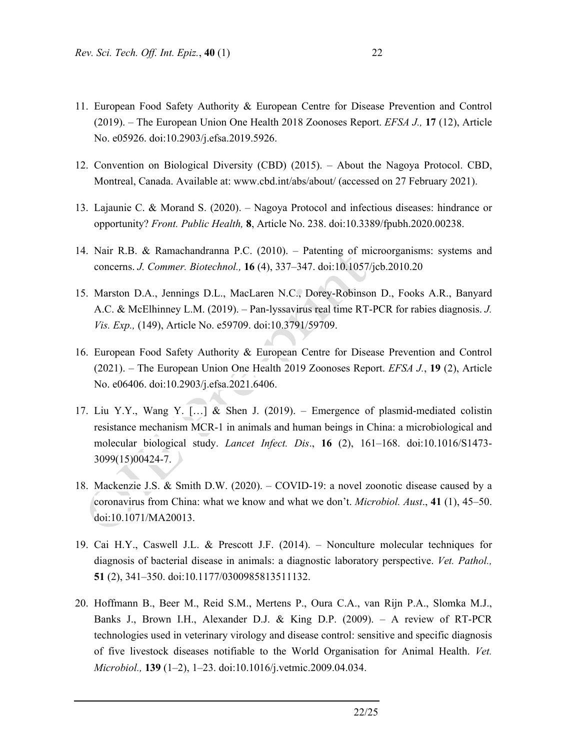- 11. European Food Safety Authority & European Centre for Disease Prevention and Control (2019). – The European Union One Health 2018 Zoonoses Report. *EFSA J.,* **17** (12), Article No. e05926. doi:10.2903/j.efsa.2019.5926.
- 12. Convention on Biological Diversity (CBD) (2015). About the Nagoya Protocol. CBD, Montreal, Canada. Available at: www.cbd.int/abs/about/ (accessed on 27 February 2021).
- 13. Lajaunie C. & Morand S. (2020). Nagoya Protocol and infectious diseases: hindrance or opportunity? *Front. Public Health,* **8**, Article No. 238. doi:10.3389/fpubh.2020.00238.
- 14. Nair R.B. & Ramachandranna P.C. (2010). Patenting of microorganisms: systems and concerns. *J. Commer. Biotechnol.,* **16** (4), 337–347. doi:10.1057/jcb.2010.20
- 15. Marston D.A., Jennings D.L., MacLaren N.C., Dorey-Robinson D., Fooks A.R., Banyard A.C. & McElhinney L.M. (2019). – Pan-lyssavirus real time RT-PCR for rabies diagnosis. *J. Vis. Exp.,* (149), Article No. e59709. doi:10.3791/59709.
- 16. European Food Safety Authority & European Centre for Disease Prevention and Control (2021). – The European Union One Health 2019 Zoonoses Report. *EFSA J.*, **19** (2), Article No. e06406. doi:10.2903/j.efsa.2021.6406.
- 17. Liu Y.Y., Wang Y. […] & Shen J. (2019). Emergence of plasmid-mediated colistin resistance mechanism MCR-1 in animals and human beings in China: a microbiological and molecular biological study. *Lancet Infect. Dis*., **16** (2), 161–168. doi:10.1016/S1473- 3099(15)00424-7.
- 18. Mackenzie J.S. & Smith D.W. (2020). COVID-19: a novel zoonotic disease caused by a coronavirus from China: what we know and what we don't. *Microbiol. Aust*., **41** (1), 45–50. doi:10.1071/MA20013.
- 19. Cai H.Y., Caswell J.L. & Prescott J.F. (2014). Nonculture molecular techniques for diagnosis of bacterial disease in animals: a diagnostic laboratory perspective. *Vet. Pathol.,*  **51** (2), 341–350. doi:10.1177/0300985813511132.
- 20. Hoffmann B., Beer M., Reid S.M., Mertens P., Oura C.A., van Rijn P.A., Slomka M.J., Banks J., Brown I.H., Alexander D.J. & King D.P. (2009). – A review of RT-PCR technologies used in veterinary virology and disease control: sensitive and specific diagnosis of five livestock diseases notifiable to the World Organisation for Animal Health. *Vet. Microbiol.,* **139** (1–2), 1–23. doi:10.1016/j.vetmic.2009.04.034.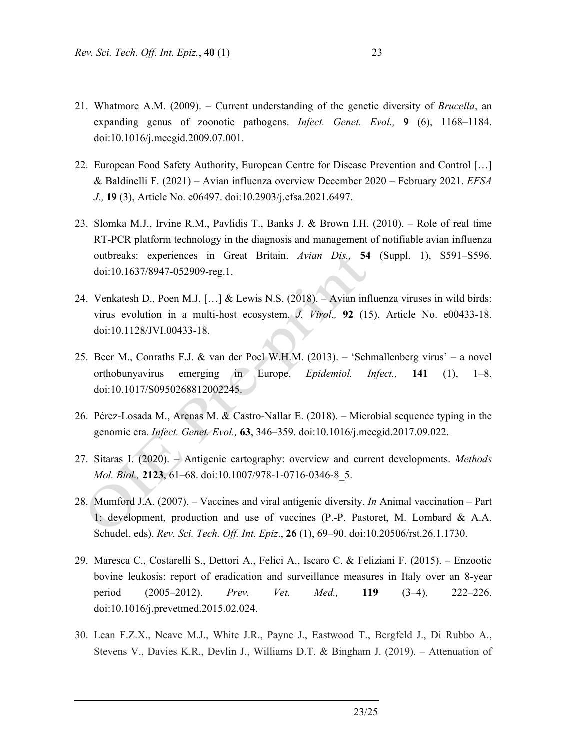- 21. Whatmore A.M. (2009). Current understanding of the genetic diversity of *Brucella*, an expanding genus of zoonotic pathogens. *Infect. Genet. Evol.,* **9** (6), 1168–1184. doi:10.1016/j.meegid.2009.07.001.
- 22. European Food Safety Authority, European Centre for Disease Prevention and Control […] & Baldinelli F. (2021) – Avian influenza overview December 2020 – February 2021. *EFSA J.,* **19** (3), Article No. e06497. doi:10.2903/j.efsa.2021.6497.
- 23. Slomka M.J., Irvine R.M., Pavlidis T., Banks J. & Brown I.H. (2010). Role of real time RT-PCR platform technology in the diagnosis and management of notifiable avian influenza outbreaks: experiences in Great Britain. *Avian Dis.,* **54** (Suppl. 1), S591–S596. doi:10.1637/8947-052909-reg.1.
- 24. Venkatesh D., Poen M.J. […] & Lewis N.S. (2018). Avian influenza viruses in wild birds: virus evolution in a multi-host ecosystem. *J. Virol.,* **92** (15), Article No. e00433-18. doi:10.1128/JVI.00433-18.
- 25. Beer M., Conraths F.J. & van der Poel W.H.M. (2013). 'Schmallenberg virus' a novel orthobunyavirus emerging in Europe. *Epidemiol. Infect.,* **141** (1), 1–8. doi:10.1017/S0950268812002245.
- 26. Pérez-Losada M., Arenas M. & Castro-Nallar E. (2018). Microbial sequence typing in the genomic era. *Infect. Genet. Evol.,* **63**, 346–359. doi:10.1016/j.meegid.2017.09.022.
- 27. Sitaras I. (2020). Antigenic cartography: overview and current developments. *Methods Mol. Biol.,* **2123**, 61–68. doi:10.1007/978-1-0716-0346-8\_5.
- 28. Mumford J.A. (2007). Vaccines and viral antigenic diversity. *In* Animal vaccination Part 1: development, production and use of vaccines (P.-P. Pastoret, M. Lombard & A.A. Schudel, eds). *Rev. Sci. Tech. Off. Int. Epiz*., **26** (1), 69–90. doi:10.20506/rst.26.1.1730.
- 29. Maresca C., Costarelli S., Dettori A., Felici A., Iscaro C. & Feliziani F. (2015). Enzootic bovine leukosis: report of eradication and surveillance measures in Italy over an 8-year period (2005–2012). *Prev. Vet. Med.,* **119** (3–4), 222–226. doi:10.1016/j.prevetmed.2015.02.024.
- 30. Lean F.Z.X., Neave M.J., White J.R., Payne J., Eastwood T., Bergfeld J., Di Rubbo A., Stevens V., Davies K.R., Devlin J., Williams D.T. & Bingham J. (2019). – Attenuation of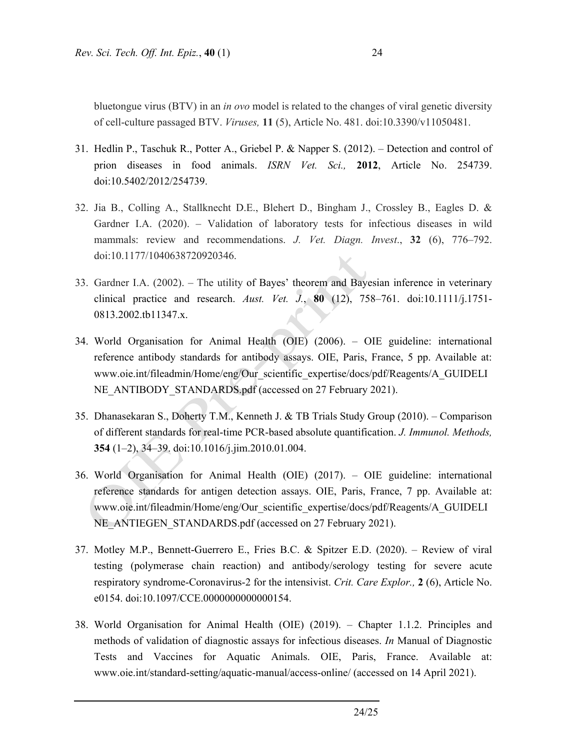- 31. Hedlin P., Taschuk R., Potter A., Griebel P. & Napper S. (2012). Detection and control of prion diseases in food animals. *ISRN Vet. Sci.,* **2012**, Article No. 254739. doi:10.5402/2012/254739.
- 32. Jia B., Colling A., Stallknecht D.E., Blehert D., Bingham J., Crossley B., Eagles D. & Gardner I.A. (2020). – Validation of laboratory tests for infectious diseases in wild mammals: review and recommendations. *J. Vet. Diagn. Invest*., **32** (6), 776–792. doi:10.1177/1040638720920346.
- 33. Gardner I.A. (2002). The utility of Bayes' theorem and Bayesian inference in veterinary clinical practice and research. *Aust. Vet. J.*, **80** (12), 758–761. doi:10.1111/j.1751- 0813.2002.tb11347.x.
- 34. World Organisation for Animal Health (OIE) (2006). OIE guideline: international reference antibody standards for antibody assays. OIE, Paris, France, 5 pp. Available at: www.oie.int/fileadmin/Home/eng/Our\_scientific\_expertise/docs/pdf/Reagents/A\_GUIDELI NE\_ANTIBODY\_STANDARDS.pdf (accessed on 27 February 2021).
- 35. Dhanasekaran S., Doherty T.M., Kenneth J. & TB Trials Study Group (2010). Comparison of different standards for real-time PCR-based absolute quantification. *J. Immunol. Methods,*  **354** (1–2), 34–39. doi:10.1016/j.jim.2010.01.004.
- 36. World Organisation for Animal Health (OIE) (2017). OIE guideline: international reference standards for antigen detection assays. OIE, Paris, France, 7 pp. Available at: www.oie.int/fileadmin/Home/eng/Our\_scientific\_expertise/docs/pdf/Reagents/A\_GUIDELI NE\_ANTIEGEN\_STANDARDS.pdf (accessed on 27 February 2021).
- 37. Motley M.P., Bennett-Guerrero E., Fries B.C. & Spitzer E.D. (2020). Review of viral testing (polymerase chain reaction) and antibody/serology testing for severe acute respiratory syndrome-Coronavirus-2 for the intensivist. *Crit. Care Explor.,* **2** (6), Article No. e0154. doi:10.1097/CCE.0000000000000154.
- 38. World Organisation for Animal Health (OIE) (2019). Chapter 1.1.2. Principles and methods of validation of diagnostic assays for infectious diseases. *In* Manual of Diagnostic Tests and Vaccines for Aquatic Animals. OIE, Paris, France. Available at: www.oie.int/standard-setting/aquatic-manual/access-online/ (accessed on 14 April 2021).